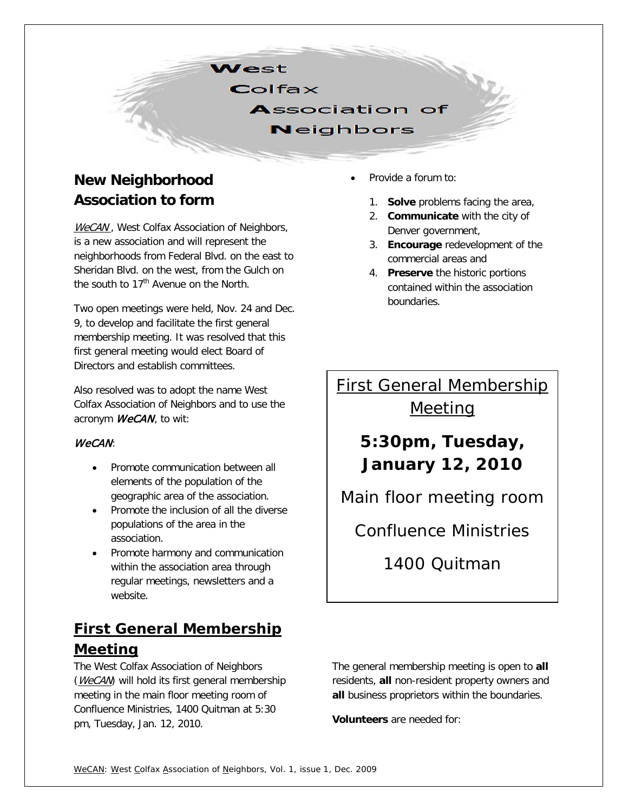**Nest** 

 $Colfax$ 

**Association of Neighbors** 

## **New Neighborhood Association to form**

WeCAN, West Colfax Association of Neighbors, is a new association and will represent the neighborhoods from Federal Blvd. on the east to Sheridan Blvd. on the west, from the Gulch on the south to 17<sup>th</sup> Avenue on the North.

Two open meetings were held, Nov. 24 and Dec. 9, to develop and facilitate the first general membership meeting. It was resolved that this first general meeting would elect Board of Directors and establish committees.

Also resolved was to adopt the name West Colfax Association of Neighbors and to use the acronym *WeCAN*, to wit:

#### WeCAN:

- Promote communication between all elements of the population of the geographic area of the association.
- Promote the inclusion of all the diverse populations of the area in the association.
- Promote harmony and communication within the association area through regular meetings, newsletters and a website.

## **First General Membership Meeting**

The West Colfax Association of Neighbors (WeCAM) will hold its first general membership meeting in the main floor meeting room of Confluence Ministries, 1400 Quitman at 5:30 pm, Tuesday, Jan. 12, 2010.

- Provide a forum to:
	- 1. **Solve** problems facing the area,
	- 2. **Communicate** with the city of Denver government,
	- 3. **Encourage** redevelopment of the commercial areas and
	- 4. **Preserve** the historic portions contained within the association boundaries.

# *First General Membership*

*Meeting*

*5:30pm, Tuesday, January 12, 2010*

*Main floor meeting room*

*Confluence Ministries*

*1400 Quitman*

The general membership meeting is open to **all** residents, **all** non-resident property owners and **all** business proprietors within the boundaries.

**Volunteers** are needed for: